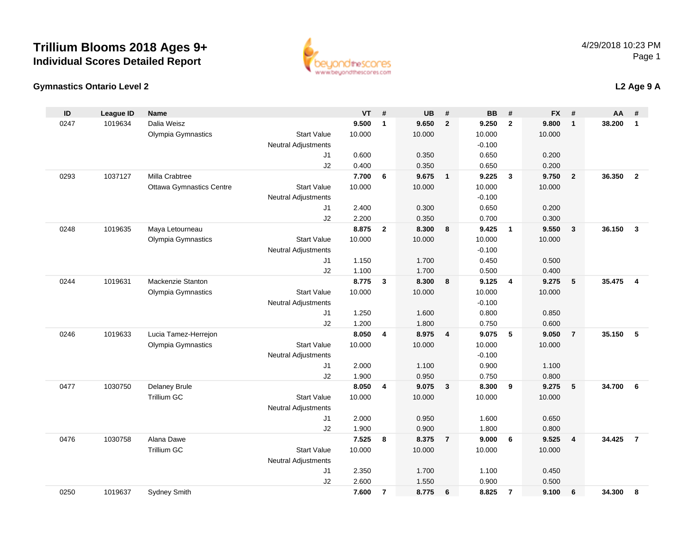

### **Gymnastics Ontario Level 2**

### **L2 Age 9 A**

| ID   | <b>League ID</b> | <b>Name</b>                     |                            | <b>VT</b> | #              | <b>UB</b> | #              | <b>BB</b>      | #                       | <b>FX</b>      | #                       | AA     | #                |
|------|------------------|---------------------------------|----------------------------|-----------|----------------|-----------|----------------|----------------|-------------------------|----------------|-------------------------|--------|------------------|
| 0247 | 1019634          | Dalia Weisz                     |                            | 9.500     | $\mathbf{1}$   | 9.650     | $\overline{2}$ | 9.250          | $\overline{2}$          | 9.800          | $\overline{1}$          | 38.200 | $\mathbf{1}$     |
|      |                  | Olympia Gymnastics              | <b>Start Value</b>         | 10.000    |                | 10.000    |                | 10.000         |                         | 10.000         |                         |        |                  |
|      |                  |                                 | <b>Neutral Adjustments</b> |           |                |           |                | $-0.100$       |                         |                |                         |        |                  |
|      |                  |                                 | J1                         | 0.600     |                | 0.350     |                | 0.650          |                         | 0.200          |                         |        |                  |
|      |                  |                                 | J2                         | 0.400     |                | 0.350     |                | 0.650          |                         | 0.200          |                         |        |                  |
| 0293 | 1037127          | Milla Crabtree                  |                            | 7.700     | 6              | 9.675     | $\mathbf{1}$   | 9.225          | $\overline{\mathbf{3}}$ | 9.750          | $\overline{2}$          | 36.350 | $\overline{2}$   |
|      |                  | <b>Ottawa Gymnastics Centre</b> | <b>Start Value</b>         | 10.000    |                | 10.000    |                | 10.000         |                         | 10.000         |                         |        |                  |
|      |                  |                                 | <b>Neutral Adjustments</b> |           |                |           |                | $-0.100$       |                         |                |                         |        |                  |
|      |                  |                                 | J1                         | 2.400     |                | 0.300     |                | 0.650          |                         | 0.200          |                         |        |                  |
|      |                  |                                 | J2                         | 2.200     |                | 0.350     |                | 0.700          |                         | 0.300          |                         |        |                  |
| 0248 | 1019635          | Maya Letourneau                 |                            | 8.875     | $\overline{2}$ | 8.300     | 8              | 9.425          | $\overline{1}$          | 9.550          | $\overline{\mathbf{3}}$ | 36.150 | $\mathbf{3}$     |
|      |                  | Olympia Gymnastics              | <b>Start Value</b>         | 10.000    |                | 10.000    |                | 10.000         |                         | 10.000         |                         |        |                  |
|      |                  |                                 | <b>Neutral Adjustments</b> | 1.150     |                | 1.700     |                | $-0.100$       |                         |                |                         |        |                  |
|      |                  |                                 | J1<br>J2                   | 1.100     |                | 1.700     |                | 0.450<br>0.500 |                         | 0.500<br>0.400 |                         |        |                  |
| 0244 | 1019631          | Mackenzie Stanton               |                            | 8.775     | 3              | 8.300     | 8              | 9.125          | $\overline{4}$          | 9.275          | 5                       | 35.475 | $\boldsymbol{4}$ |
|      |                  | Olympia Gymnastics              | <b>Start Value</b>         | 10.000    |                | 10.000    |                | 10.000         |                         | 10.000         |                         |        |                  |
|      |                  |                                 | <b>Neutral Adjustments</b> |           |                |           |                | $-0.100$       |                         |                |                         |        |                  |
|      |                  |                                 | J1                         | 1.250     |                | 1.600     |                | 0.800          |                         | 0.850          |                         |        |                  |
|      |                  |                                 | J2                         | 1.200     |                | 1.800     |                | 0.750          |                         | 0.600          |                         |        |                  |
| 0246 | 1019633          | Lucia Tamez-Herrejon            |                            | 8.050     | 4              | 8.975     | $\overline{4}$ | 9.075          | 5                       | 9.050          | $\overline{7}$          | 35.150 | 5                |
|      |                  | Olympia Gymnastics              | <b>Start Value</b>         | 10.000    |                | 10.000    |                | 10.000         |                         | 10.000         |                         |        |                  |
|      |                  |                                 | <b>Neutral Adjustments</b> |           |                |           |                | $-0.100$       |                         |                |                         |        |                  |
|      |                  |                                 | J1                         | 2.000     |                | 1.100     |                | 0.900          |                         | 1.100          |                         |        |                  |
|      |                  |                                 | J2                         | 1.900     |                | 0.950     |                | 0.750          |                         | 0.800          |                         |        |                  |
| 0477 | 1030750          | Delaney Brule                   |                            | 8.050     | 4              | 9.075     | $\mathbf{3}$   | 8.300          | 9                       | 9.275          | 5                       | 34.700 | 6                |
|      |                  | <b>Trillium GC</b>              | <b>Start Value</b>         | 10.000    |                | 10.000    |                | 10.000         |                         | 10.000         |                         |        |                  |
|      |                  |                                 | <b>Neutral Adjustments</b> |           |                |           |                |                |                         |                |                         |        |                  |
|      |                  |                                 | J1                         | 2.000     |                | 0.950     |                | 1.600          |                         | 0.650          |                         |        |                  |
|      |                  |                                 | J2                         | 1.900     |                | 0.900     |                | 1.800          |                         | 0.800          |                         |        |                  |
| 0476 | 1030758          | Alana Dawe                      |                            | 7.525     | 8              | 8.375     | $\overline{7}$ | 9.000          | 6                       | 9.525          | $\overline{4}$          | 34.425 | $\overline{7}$   |
|      |                  | Trillium GC                     | <b>Start Value</b>         | 10.000    |                | 10.000    |                | 10.000         |                         | 10.000         |                         |        |                  |
|      |                  |                                 | <b>Neutral Adjustments</b> |           |                |           |                |                |                         |                |                         |        |                  |
|      |                  |                                 | J1                         | 2.350     |                | 1.700     |                | 1.100          |                         | 0.450          |                         |        |                  |
|      |                  |                                 | J2                         | 2.600     |                | 1.550     |                | 0.900          |                         | 0.500          |                         |        |                  |
| 0250 | 1019637          | Sydney Smith                    |                            | 7.600     | $\overline{7}$ | 8.775     | 6              | 8.825          | $\overline{7}$          | 9.100          | 6                       | 34.300 | 8                |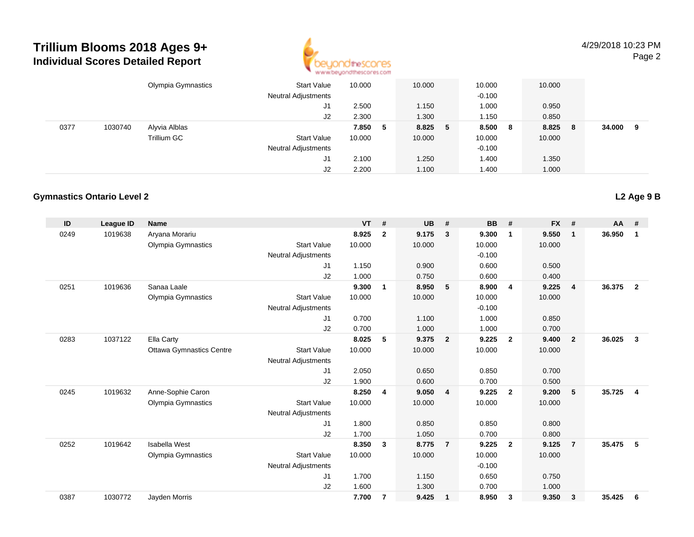

4/29/2018 10:23 PMPage 2

|      |         | Olympia Gymnastics | <b>Start Value</b><br><b>Neutral Adjustments</b> | 10.000  | 10.000  | 10.000<br>$-0.100$ |     | 10.000 |    |        |   |
|------|---------|--------------------|--------------------------------------------------|---------|---------|--------------------|-----|--------|----|--------|---|
|      |         |                    | J1                                               | 2.500   | 1.150   | 1.000              |     | 0.950  |    |        |   |
|      |         |                    | J2                                               | 2.300   | 1.300   | 1.150              |     | 0.850  |    |        |   |
| 0377 | 1030740 | Alyvia Alblas      |                                                  | 7.850 5 | 8.825 5 | 8.500              | - 8 | 8.825  | -8 | 34.000 | 9 |
|      |         | Trillium GC        | <b>Start Value</b>                               | 10.000  | 10.000  | 10.000             |     | 10.000 |    |        |   |
|      |         |                    | <b>Neutral Adjustments</b>                       |         |         | $-0.100$           |     |        |    |        |   |
|      |         |                    | J1                                               | 2.100   | 1.250   | 1.400              |     | 1.350  |    |        |   |
|      |         |                    | J2                                               | 2.200   | 1.100   | 1.400              |     | 1.000  |    |        |   |

#### **Gymnastics Ontario Level 2**

| ID   | League ID | <b>Name</b>                     |                            | <b>VT</b> | #                       | <b>UB</b> | #                       | <b>BB</b> | #                       | <b>FX</b> | #              | AA     | #                       |
|------|-----------|---------------------------------|----------------------------|-----------|-------------------------|-----------|-------------------------|-----------|-------------------------|-----------|----------------|--------|-------------------------|
| 0249 | 1019638   | Aryana Morariu                  |                            | 8.925     | $\overline{2}$          | 9.175     | $\mathbf{3}$            | 9.300     | $\overline{\mathbf{1}}$ | 9.550     | $\mathbf{1}$   | 36.950 | 1                       |
|      |           | Olympia Gymnastics              | <b>Start Value</b>         | 10.000    |                         | 10.000    |                         | 10.000    |                         | 10.000    |                |        |                         |
|      |           |                                 | <b>Neutral Adjustments</b> |           |                         |           |                         | $-0.100$  |                         |           |                |        |                         |
|      |           |                                 | J1                         | 1.150     |                         | 0.900     |                         | 0.600     |                         | 0.500     |                |        |                         |
|      |           |                                 | J2                         | 1.000     |                         | 0.750     |                         | 0.600     |                         | 0.400     |                |        |                         |
| 0251 | 1019636   | Sanaa Laale                     |                            | 9.300     | $\mathbf{1}$            | 8.950     | 5                       | 8.900     | $\overline{4}$          | 9.225     | $\overline{4}$ | 36.375 | $\overline{2}$          |
|      |           | Olympia Gymnastics              | <b>Start Value</b>         | 10.000    |                         | 10.000    |                         | 10.000    |                         | 10.000    |                |        |                         |
|      |           |                                 | <b>Neutral Adjustments</b> |           |                         |           |                         | $-0.100$  |                         |           |                |        |                         |
|      |           |                                 | J1                         | 0.700     |                         | 1.100     |                         | 1.000     |                         | 0.850     |                |        |                         |
|      |           |                                 | J2                         | 0.700     |                         | 1.000     |                         | 1.000     |                         | 0.700     |                |        |                         |
| 0283 | 1037122   | Ella Carty                      |                            | 8.025     | 5                       | 9.375     | $\overline{2}$          | 9.225     | $\overline{2}$          | 9.400     | $\overline{2}$ | 36.025 | $\overline{\mathbf{3}}$ |
|      |           | <b>Ottawa Gymnastics Centre</b> | <b>Start Value</b>         | 10.000    |                         | 10.000    |                         | 10.000    |                         | 10.000    |                |        |                         |
|      |           |                                 | <b>Neutral Adjustments</b> |           |                         |           |                         |           |                         |           |                |        |                         |
|      |           |                                 | J1                         | 2.050     |                         | 0.650     |                         | 0.850     |                         | 0.700     |                |        |                         |
|      |           |                                 | J2                         | 1.900     |                         | 0.600     |                         | 0.700     |                         | 0.500     |                |        |                         |
| 0245 | 1019632   | Anne-Sophie Caron               |                            | 8.250     | 4                       | 9.050     | $\overline{4}$          | 9.225     | $\overline{2}$          | 9.200     | 5              | 35.725 | $\overline{4}$          |
|      |           | Olympia Gymnastics              | <b>Start Value</b>         | 10.000    |                         | 10.000    |                         | 10.000    |                         | 10.000    |                |        |                         |
|      |           |                                 | Neutral Adjustments        |           |                         |           |                         |           |                         |           |                |        |                         |
|      |           |                                 | J1                         | 1.800     |                         | 0.850     |                         | 0.850     |                         | 0.800     |                |        |                         |
|      |           |                                 | J2                         | 1.700     |                         | 1.050     |                         | 0.700     |                         | 0.800     |                |        |                         |
| 0252 | 1019642   | <b>Isabella West</b>            |                            | 8.350     | 3                       | 8.775     | $\overline{7}$          | 9.225     | $\overline{2}$          | 9.125     | $\overline{7}$ | 35.475 | 5                       |
|      |           | Olympia Gymnastics              | <b>Start Value</b>         | 10.000    |                         | 10.000    |                         | 10.000    |                         | 10.000    |                |        |                         |
|      |           |                                 | <b>Neutral Adjustments</b> |           |                         |           |                         | $-0.100$  |                         |           |                |        |                         |
|      |           |                                 | J1                         | 1.700     |                         | 1.150     |                         | 0.650     |                         | 0.750     |                |        |                         |
|      |           |                                 | J2                         | 1.600     |                         | 1.300     |                         | 0.700     |                         | 1.000     |                |        |                         |
| 0387 | 1030772   | Jayden Morris                   |                            | 7.700     | $\overline{\mathbf{r}}$ | 9.425     | $\overline{\mathbf{1}}$ | 8.950     | 3                       | 9.350     | 3              | 35.425 | 6                       |
|      |           |                                 |                            |           |                         |           |                         |           |                         |           |                |        |                         |

**L2 Age 9 B**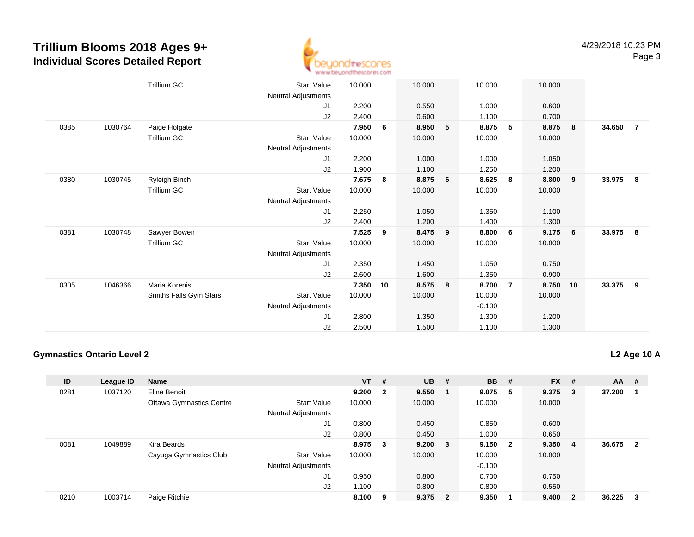

|      |         | <b>Trillium GC</b>     | <b>Start Value</b>         | 10.000 |    | 10.000 |   | 10.000   |                | 10.000 |                 |        |                |
|------|---------|------------------------|----------------------------|--------|----|--------|---|----------|----------------|--------|-----------------|--------|----------------|
|      |         |                        | Neutral Adjustments        |        |    |        |   |          |                |        |                 |        |                |
|      |         |                        | J1                         | 2.200  |    | 0.550  |   | 1.000    |                | 0.600  |                 |        |                |
|      |         |                        | J2                         | 2.400  |    | 0.600  |   | 1.100    |                | 0.700  |                 |        |                |
| 0385 | 1030764 | Paige Holgate          |                            | 7.950  | 6  | 8.950  | 5 | 8.875    | 5              | 8.875  | 8               | 34.650 | $\overline{7}$ |
|      |         | <b>Trillium GC</b>     | <b>Start Value</b>         | 10.000 |    | 10.000 |   | 10.000   |                | 10.000 |                 |        |                |
|      |         |                        | Neutral Adjustments        |        |    |        |   |          |                |        |                 |        |                |
|      |         |                        | J1                         | 2.200  |    | 1.000  |   | 1.000    |                | 1.050  |                 |        |                |
|      |         |                        | J2                         | 1.900  |    | 1.100  |   | 1.250    |                | 1.200  |                 |        |                |
| 0380 | 1030745 | Ryleigh Binch          |                            | 7.675  | 8  | 8.875  | 6 | 8.625    | 8              | 8.800  | 9               | 33.975 | 8              |
|      |         | Trillium GC            | Start Value                | 10.000 |    | 10.000 |   | 10.000   |                | 10.000 |                 |        |                |
|      |         |                        | Neutral Adjustments        |        |    |        |   |          |                |        |                 |        |                |
|      |         |                        | J1                         | 2.250  |    | 1.050  |   | 1.350    |                | 1.100  |                 |        |                |
|      |         |                        | J2                         | 2.400  |    | 1.200  |   | 1.400    |                | 1.300  |                 |        |                |
| 0381 | 1030748 | Sawyer Bowen           |                            | 7.525  | 9  | 8.475  | 9 | 8.800    | 6              | 9.175  | $6\overline{6}$ | 33.975 | 8              |
|      |         | <b>Trillium GC</b>     | <b>Start Value</b>         | 10.000 |    | 10.000 |   | 10.000   |                | 10.000 |                 |        |                |
|      |         |                        | Neutral Adjustments        |        |    |        |   |          |                |        |                 |        |                |
|      |         |                        | J1                         | 2.350  |    | 1.450  |   | 1.050    |                | 0.750  |                 |        |                |
|      |         |                        | J2                         | 2.600  |    | 1.600  |   | 1.350    |                | 0.900  |                 |        |                |
| 0305 | 1046366 | Maria Korenis          |                            | 7.350  | 10 | 8.575  | 8 | 8.700    | $\overline{7}$ | 8.750  | 10              | 33.375 | 9              |
|      |         | Smiths Falls Gym Stars | Start Value                | 10.000 |    | 10.000 |   | 10.000   |                | 10.000 |                 |        |                |
|      |         |                        | <b>Neutral Adjustments</b> |        |    |        |   | $-0.100$ |                |        |                 |        |                |
|      |         |                        | J1                         | 2.800  |    | 1.350  |   | 1.300    |                | 1.200  |                 |        |                |
|      |         |                        | J2                         | 2.500  |    | 1.500  |   | 1.100    |                | 1.300  |                 |        |                |

#### **Gymnastics Ontario Level 2**

**L2 Age 10 A**

| ID   | League ID | <b>Name</b>                     |                            | $VT$ #  |                | $UB$ # |                         | <b>BB</b> | - #                     | <b>FX</b> | #                       | <b>AA</b> | #                       |
|------|-----------|---------------------------------|----------------------------|---------|----------------|--------|-------------------------|-----------|-------------------------|-----------|-------------------------|-----------|-------------------------|
| 0281 | 1037120   | Eline Benoit                    |                            | 9.200   | $\overline{2}$ | 9.550  |                         | 9.075     | - 5                     | 9.375     | - 3                     | 37.200    |                         |
|      |           | <b>Ottawa Gymnastics Centre</b> | <b>Start Value</b>         | 10.000  |                | 10.000 |                         | 10.000    |                         | 10.000    |                         |           |                         |
|      |           |                                 | <b>Neutral Adjustments</b> |         |                |        |                         |           |                         |           |                         |           |                         |
|      |           |                                 | J <sub>1</sub>             | 0.800   |                | 0.450  |                         | 0.850     |                         | 0.600     |                         |           |                         |
|      |           |                                 | J2                         | 0.800   |                | 0.450  |                         | 1.000     |                         | 0.650     |                         |           |                         |
| 0081 | 1049889   | Kira Beards                     |                            | 8.975 3 |                | 9.200  | $\overline{\mathbf{3}}$ | 9.150     | $\overline{\mathbf{2}}$ | 9.350     | $\overline{4}$          | 36.675    | $\overline{\mathbf{2}}$ |
|      |           | Cayuga Gymnastics Club          | <b>Start Value</b>         | 10.000  |                | 10.000 |                         | 10.000    |                         | 10.000    |                         |           |                         |
|      |           |                                 | <b>Neutral Adjustments</b> |         |                |        |                         | $-0.100$  |                         |           |                         |           |                         |
|      |           |                                 | J <sub>1</sub>             | 0.950   |                | 0.800  |                         | 0.700     |                         | 0.750     |                         |           |                         |
|      |           |                                 | J2                         | 1.100   |                | 0.800  |                         | 0.800     |                         | 0.550     |                         |           |                         |
| 0210 | 1003714   | Paige Ritchie                   |                            | 8.100   | 9              | 9.375  | $\overline{\mathbf{2}}$ | 9.350     |                         | 9.400     | $\overline{\mathbf{2}}$ | 36.225    | 3                       |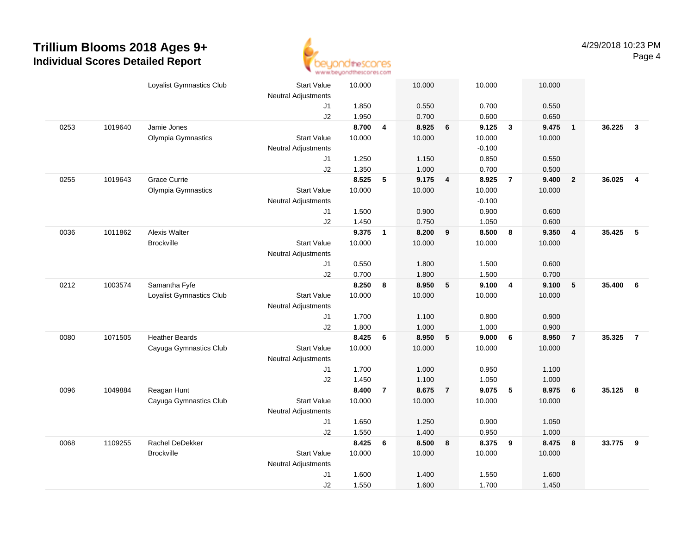

|      |         | Loyalist Gymnastics Club | <b>Start Value</b>         | 10.000 |                | 10.000 |                | 10.000   |                | 10.000 |                         |        |                |
|------|---------|--------------------------|----------------------------|--------|----------------|--------|----------------|----------|----------------|--------|-------------------------|--------|----------------|
|      |         |                          | <b>Neutral Adjustments</b> |        |                |        |                |          |                |        |                         |        |                |
|      |         |                          | J1                         | 1.850  |                | 0.550  |                | 0.700    |                | 0.550  |                         |        |                |
|      |         |                          | J2                         | 1.950  |                | 0.700  |                | 0.600    |                | 0.650  |                         |        |                |
| 0253 | 1019640 | Jamie Jones              |                            | 8.700  | 4              | 8.925  | 6              | 9.125    | $\mathbf{3}$   | 9.475  | $\overline{\mathbf{1}}$ | 36.225 | $\mathbf{3}$   |
|      |         | Olympia Gymnastics       | <b>Start Value</b>         | 10.000 |                | 10.000 |                | 10.000   |                | 10.000 |                         |        |                |
|      |         |                          | <b>Neutral Adjustments</b> |        |                |        |                | $-0.100$ |                |        |                         |        |                |
|      |         |                          | J1                         | 1.250  |                | 1.150  |                | 0.850    |                | 0.550  |                         |        |                |
|      |         |                          | J2                         | 1.350  |                | 1.000  |                | 0.700    |                | 0.500  |                         |        |                |
| 0255 | 1019643 | Grace Currie             |                            | 8.525  | 5              | 9.175  | 4              | 8.925    | $\overline{7}$ | 9.400  | $\overline{2}$          | 36.025 | $\overline{4}$ |
|      |         | Olympia Gymnastics       | <b>Start Value</b>         | 10.000 |                | 10.000 |                | 10.000   |                | 10.000 |                         |        |                |
|      |         |                          | <b>Neutral Adjustments</b> |        |                |        |                | $-0.100$ |                |        |                         |        |                |
|      |         |                          | J1                         | 1.500  |                | 0.900  |                | 0.900    |                | 0.600  |                         |        |                |
|      |         |                          | J2                         | 1.450  |                | 0.750  |                | 1.050    |                | 0.600  |                         |        |                |
| 0036 | 1011862 | Alexis Walter            |                            | 9.375  | $\mathbf{1}$   | 8.200  | 9              | 8.500    | 8              | 9.350  | $\overline{\mathbf{4}}$ | 35.425 | 5              |
|      |         | <b>Brockville</b>        | <b>Start Value</b>         | 10.000 |                | 10.000 |                | 10.000   |                | 10.000 |                         |        |                |
|      |         |                          | <b>Neutral Adjustments</b> |        |                |        |                |          |                |        |                         |        |                |
|      |         |                          | J1                         | 0.550  |                | 1.800  |                | 1.500    |                | 0.600  |                         |        |                |
|      |         |                          | J2                         | 0.700  |                | 1.800  |                | 1.500    |                | 0.700  |                         |        |                |
| 0212 | 1003574 | Samantha Fyfe            |                            | 8.250  | 8              | 8.950  | 5              | 9.100    | $\overline{4}$ | 9.100  | $5\phantom{.0}$         | 35.400 | 6              |
|      |         | Loyalist Gymnastics Club | <b>Start Value</b>         | 10.000 |                | 10.000 |                | 10.000   |                | 10.000 |                         |        |                |
|      |         |                          | Neutral Adjustments        |        |                |        |                |          |                |        |                         |        |                |
|      |         |                          | J1                         | 1.700  |                | 1.100  |                | 0.800    |                | 0.900  |                         |        |                |
|      |         |                          | J2                         | 1.800  |                | 1.000  |                | 1.000    |                | 0.900  |                         |        |                |
| 0080 | 1071505 | <b>Heather Beards</b>    |                            | 8.425  | 6              | 8.950  | $\sqrt{5}$     | 9.000    | 6              | 8.950  | $\overline{7}$          | 35.325 | $\overline{7}$ |
|      |         | Cayuga Gymnastics Club   | <b>Start Value</b>         | 10.000 |                | 10.000 |                | 10.000   |                | 10.000 |                         |        |                |
|      |         |                          | <b>Neutral Adjustments</b> |        |                |        |                |          |                |        |                         |        |                |
|      |         |                          | J1                         | 1.700  |                | 1.000  |                | 0.950    |                | 1.100  |                         |        |                |
|      |         |                          | J2                         | 1.450  |                | 1.100  |                | 1.050    |                | 1.000  |                         |        |                |
| 0096 | 1049884 | Reagan Hunt              |                            | 8.400  | $\overline{7}$ | 8.675  | $\overline{7}$ | 9.075    | 5              | 8.975  | $6\phantom{1}6$         | 35.125 | 8              |
|      |         | Cayuga Gymnastics Club   | <b>Start Value</b>         | 10.000 |                | 10.000 |                | 10.000   |                | 10.000 |                         |        |                |
|      |         |                          | <b>Neutral Adjustments</b> |        |                |        |                |          |                |        |                         |        |                |
|      |         |                          | J1                         | 1.650  |                | 1.250  |                | 0.900    |                | 1.050  |                         |        |                |
|      |         |                          | J2                         | 1.550  |                | 1.400  |                | 0.950    |                | 1.000  |                         |        |                |
| 0068 | 1109255 | Rachel DeDekker          |                            | 8.425  | 6              | 8.500  | 8              | 8.375    | 9              | 8.475  | 8                       | 33.775 | 9              |
|      |         | <b>Brockville</b>        | <b>Start Value</b>         | 10.000 |                | 10.000 |                | 10.000   |                | 10.000 |                         |        |                |
|      |         |                          | <b>Neutral Adjustments</b> |        |                |        |                |          |                |        |                         |        |                |
|      |         |                          | J1                         | 1.600  |                | 1.400  |                | 1.550    |                | 1.600  |                         |        |                |
|      |         |                          | J2                         | 1.550  |                | 1.600  |                | 1.700    |                | 1.450  |                         |        |                |
|      |         |                          |                            |        |                |        |                |          |                |        |                         |        |                |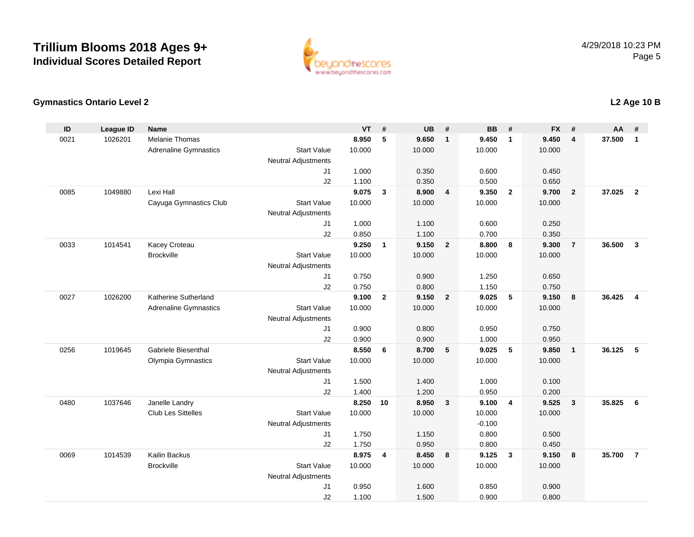

### **Gymnastics Ontario Level 2**

| 5<br><b>Melanie Thomas</b><br>8.950<br>9.650<br>9.450<br>9.450<br>37,500<br>0021<br>1026201<br>$\overline{4}$<br>$\mathbf{1}$<br>$\overline{1}$<br>$\mathbf{1}$<br><b>Start Value</b><br><b>Adrenaline Gymnastics</b><br>10.000<br>10.000<br>10.000<br>10.000<br>Neutral Adjustments<br>0.450<br>J1<br>1.000<br>0.350<br>0.600<br>J2<br>1.100<br>0.500<br>0.350<br>0.650<br>Lexi Hall<br>9.075<br>37.025<br>1049880<br>$\mathbf{3}$<br>8.900<br>9.350<br>$\overline{\mathbf{2}}$<br>$\overline{2}$<br>0085<br>$\overline{\mathbf{4}}$<br>9.700<br>$\overline{2}$<br>Cayuga Gymnastics Club<br>10.000<br>10.000<br>10.000<br><b>Start Value</b><br>10.000<br><b>Neutral Adjustments</b><br>1.000<br>1.100<br>0.600<br>0.250<br>J1<br>J2<br>0.850<br>1.100<br>0.700<br>0.350<br>1014541<br>Kacey Croteau<br>9.250<br>9.150<br>$\overline{2}$<br>8.800<br>8<br>9.300<br>$\overline{7}$<br>36.500<br>0033<br>$\mathbf{1}$<br>$\mathbf{3}$<br>Brockville<br><b>Start Value</b><br>10.000<br>10.000<br>10.000<br>10.000<br><b>Neutral Adjustments</b><br>0.750<br>J1<br>0.900<br>1.250<br>0.650<br>0.750<br>J2<br>0.800<br>1.150<br>0.750<br>9.100<br>$\mathbf{2}$<br>9.150<br>9.025<br>$\sqrt{5}$<br>9.150<br>36.425<br>0027<br>1026200<br>Katherine Sutherland<br>$\overline{2}$<br>8<br>$\overline{4}$<br><b>Start Value</b><br>10.000<br>10.000<br><b>Adrenaline Gymnastics</b><br>10.000<br>10.000<br>Neutral Adjustments<br>0.900<br>0.800<br>0.750<br>J1<br>0.950<br>J2<br>0.900<br>0.900<br>1.000<br>0.950<br>Gabriele Biesenthal<br>8.550<br>9.025<br>5<br>36.125<br>5<br>0256<br>1019645<br>6<br>8.700<br>$-5$<br>9.850<br>$\mathbf{1}$<br><b>Start Value</b><br>Olympia Gymnastics<br>10.000<br>10.000<br>10.000<br>10.000<br><b>Neutral Adjustments</b><br>1.500<br>1.400<br>1.000<br>0.100<br>J1<br>1.400<br>J2<br>1.200<br>0.950<br>0.200<br>8.250<br>0480<br>1037646<br>Janelle Landry<br>10<br>8.950<br>$\overline{\mathbf{3}}$<br>9.100<br>$\overline{4}$<br>9.525<br>35.825<br>6<br>3<br>Club Les Sittelles<br><b>Start Value</b><br>10.000<br>10.000<br>10.000<br>10.000<br>$-0.100$<br><b>Neutral Adjustments</b><br>1.750<br>0.800<br>0.500<br>1.150<br>J1<br>1.750<br>0.950<br>0.800<br>J2<br>0.450<br>8.975<br>1014539<br>Kailin Backus<br>8.450<br>9.125<br>$\mathbf{3}$<br>9.150<br>8<br>35.700<br>$\overline{7}$<br>0069<br>4<br>8<br><b>Start Value</b><br>10.000<br>10.000<br>10.000<br><b>Brockville</b><br>10.000<br><b>Neutral Adjustments</b><br>0.900<br>J1<br>0.950<br>1.600<br>0.850<br>J2<br>1.100<br>1.500<br>0.900<br>0.800 | ID | <b>League ID</b> | <b>Name</b> | <b>VT</b> | # | <b>UB</b> | # | <b>BB</b> | # | <b>FX</b> | # | $AA$ # |  |
|-------------------------------------------------------------------------------------------------------------------------------------------------------------------------------------------------------------------------------------------------------------------------------------------------------------------------------------------------------------------------------------------------------------------------------------------------------------------------------------------------------------------------------------------------------------------------------------------------------------------------------------------------------------------------------------------------------------------------------------------------------------------------------------------------------------------------------------------------------------------------------------------------------------------------------------------------------------------------------------------------------------------------------------------------------------------------------------------------------------------------------------------------------------------------------------------------------------------------------------------------------------------------------------------------------------------------------------------------------------------------------------------------------------------------------------------------------------------------------------------------------------------------------------------------------------------------------------------------------------------------------------------------------------------------------------------------------------------------------------------------------------------------------------------------------------------------------------------------------------------------------------------------------------------------------------------------------------------------------------------------------------------------------------------------------------------------------------------------------------------------------------------------------------------------------------------------------------------------------------------------------------------------------------------------------------------------------------------------------------------------------------------------------------------------------------------------------------------------------------------------------------------------------------------------------------|----|------------------|-------------|-----------|---|-----------|---|-----------|---|-----------|---|--------|--|
|                                                                                                                                                                                                                                                                                                                                                                                                                                                                                                                                                                                                                                                                                                                                                                                                                                                                                                                                                                                                                                                                                                                                                                                                                                                                                                                                                                                                                                                                                                                                                                                                                                                                                                                                                                                                                                                                                                                                                                                                                                                                                                                                                                                                                                                                                                                                                                                                                                                                                                                                                             |    |                  |             |           |   |           |   |           |   |           |   |        |  |
|                                                                                                                                                                                                                                                                                                                                                                                                                                                                                                                                                                                                                                                                                                                                                                                                                                                                                                                                                                                                                                                                                                                                                                                                                                                                                                                                                                                                                                                                                                                                                                                                                                                                                                                                                                                                                                                                                                                                                                                                                                                                                                                                                                                                                                                                                                                                                                                                                                                                                                                                                             |    |                  |             |           |   |           |   |           |   |           |   |        |  |
|                                                                                                                                                                                                                                                                                                                                                                                                                                                                                                                                                                                                                                                                                                                                                                                                                                                                                                                                                                                                                                                                                                                                                                                                                                                                                                                                                                                                                                                                                                                                                                                                                                                                                                                                                                                                                                                                                                                                                                                                                                                                                                                                                                                                                                                                                                                                                                                                                                                                                                                                                             |    |                  |             |           |   |           |   |           |   |           |   |        |  |
|                                                                                                                                                                                                                                                                                                                                                                                                                                                                                                                                                                                                                                                                                                                                                                                                                                                                                                                                                                                                                                                                                                                                                                                                                                                                                                                                                                                                                                                                                                                                                                                                                                                                                                                                                                                                                                                                                                                                                                                                                                                                                                                                                                                                                                                                                                                                                                                                                                                                                                                                                             |    |                  |             |           |   |           |   |           |   |           |   |        |  |
|                                                                                                                                                                                                                                                                                                                                                                                                                                                                                                                                                                                                                                                                                                                                                                                                                                                                                                                                                                                                                                                                                                                                                                                                                                                                                                                                                                                                                                                                                                                                                                                                                                                                                                                                                                                                                                                                                                                                                                                                                                                                                                                                                                                                                                                                                                                                                                                                                                                                                                                                                             |    |                  |             |           |   |           |   |           |   |           |   |        |  |
|                                                                                                                                                                                                                                                                                                                                                                                                                                                                                                                                                                                                                                                                                                                                                                                                                                                                                                                                                                                                                                                                                                                                                                                                                                                                                                                                                                                                                                                                                                                                                                                                                                                                                                                                                                                                                                                                                                                                                                                                                                                                                                                                                                                                                                                                                                                                                                                                                                                                                                                                                             |    |                  |             |           |   |           |   |           |   |           |   |        |  |
|                                                                                                                                                                                                                                                                                                                                                                                                                                                                                                                                                                                                                                                                                                                                                                                                                                                                                                                                                                                                                                                                                                                                                                                                                                                                                                                                                                                                                                                                                                                                                                                                                                                                                                                                                                                                                                                                                                                                                                                                                                                                                                                                                                                                                                                                                                                                                                                                                                                                                                                                                             |    |                  |             |           |   |           |   |           |   |           |   |        |  |
|                                                                                                                                                                                                                                                                                                                                                                                                                                                                                                                                                                                                                                                                                                                                                                                                                                                                                                                                                                                                                                                                                                                                                                                                                                                                                                                                                                                                                                                                                                                                                                                                                                                                                                                                                                                                                                                                                                                                                                                                                                                                                                                                                                                                                                                                                                                                                                                                                                                                                                                                                             |    |                  |             |           |   |           |   |           |   |           |   |        |  |
|                                                                                                                                                                                                                                                                                                                                                                                                                                                                                                                                                                                                                                                                                                                                                                                                                                                                                                                                                                                                                                                                                                                                                                                                                                                                                                                                                                                                                                                                                                                                                                                                                                                                                                                                                                                                                                                                                                                                                                                                                                                                                                                                                                                                                                                                                                                                                                                                                                                                                                                                                             |    |                  |             |           |   |           |   |           |   |           |   |        |  |
|                                                                                                                                                                                                                                                                                                                                                                                                                                                                                                                                                                                                                                                                                                                                                                                                                                                                                                                                                                                                                                                                                                                                                                                                                                                                                                                                                                                                                                                                                                                                                                                                                                                                                                                                                                                                                                                                                                                                                                                                                                                                                                                                                                                                                                                                                                                                                                                                                                                                                                                                                             |    |                  |             |           |   |           |   |           |   |           |   |        |  |
|                                                                                                                                                                                                                                                                                                                                                                                                                                                                                                                                                                                                                                                                                                                                                                                                                                                                                                                                                                                                                                                                                                                                                                                                                                                                                                                                                                                                                                                                                                                                                                                                                                                                                                                                                                                                                                                                                                                                                                                                                                                                                                                                                                                                                                                                                                                                                                                                                                                                                                                                                             |    |                  |             |           |   |           |   |           |   |           |   |        |  |
|                                                                                                                                                                                                                                                                                                                                                                                                                                                                                                                                                                                                                                                                                                                                                                                                                                                                                                                                                                                                                                                                                                                                                                                                                                                                                                                                                                                                                                                                                                                                                                                                                                                                                                                                                                                                                                                                                                                                                                                                                                                                                                                                                                                                                                                                                                                                                                                                                                                                                                                                                             |    |                  |             |           |   |           |   |           |   |           |   |        |  |
|                                                                                                                                                                                                                                                                                                                                                                                                                                                                                                                                                                                                                                                                                                                                                                                                                                                                                                                                                                                                                                                                                                                                                                                                                                                                                                                                                                                                                                                                                                                                                                                                                                                                                                                                                                                                                                                                                                                                                                                                                                                                                                                                                                                                                                                                                                                                                                                                                                                                                                                                                             |    |                  |             |           |   |           |   |           |   |           |   |        |  |
|                                                                                                                                                                                                                                                                                                                                                                                                                                                                                                                                                                                                                                                                                                                                                                                                                                                                                                                                                                                                                                                                                                                                                                                                                                                                                                                                                                                                                                                                                                                                                                                                                                                                                                                                                                                                                                                                                                                                                                                                                                                                                                                                                                                                                                                                                                                                                                                                                                                                                                                                                             |    |                  |             |           |   |           |   |           |   |           |   |        |  |
|                                                                                                                                                                                                                                                                                                                                                                                                                                                                                                                                                                                                                                                                                                                                                                                                                                                                                                                                                                                                                                                                                                                                                                                                                                                                                                                                                                                                                                                                                                                                                                                                                                                                                                                                                                                                                                                                                                                                                                                                                                                                                                                                                                                                                                                                                                                                                                                                                                                                                                                                                             |    |                  |             |           |   |           |   |           |   |           |   |        |  |
|                                                                                                                                                                                                                                                                                                                                                                                                                                                                                                                                                                                                                                                                                                                                                                                                                                                                                                                                                                                                                                                                                                                                                                                                                                                                                                                                                                                                                                                                                                                                                                                                                                                                                                                                                                                                                                                                                                                                                                                                                                                                                                                                                                                                                                                                                                                                                                                                                                                                                                                                                             |    |                  |             |           |   |           |   |           |   |           |   |        |  |
|                                                                                                                                                                                                                                                                                                                                                                                                                                                                                                                                                                                                                                                                                                                                                                                                                                                                                                                                                                                                                                                                                                                                                                                                                                                                                                                                                                                                                                                                                                                                                                                                                                                                                                                                                                                                                                                                                                                                                                                                                                                                                                                                                                                                                                                                                                                                                                                                                                                                                                                                                             |    |                  |             |           |   |           |   |           |   |           |   |        |  |
|                                                                                                                                                                                                                                                                                                                                                                                                                                                                                                                                                                                                                                                                                                                                                                                                                                                                                                                                                                                                                                                                                                                                                                                                                                                                                                                                                                                                                                                                                                                                                                                                                                                                                                                                                                                                                                                                                                                                                                                                                                                                                                                                                                                                                                                                                                                                                                                                                                                                                                                                                             |    |                  |             |           |   |           |   |           |   |           |   |        |  |
|                                                                                                                                                                                                                                                                                                                                                                                                                                                                                                                                                                                                                                                                                                                                                                                                                                                                                                                                                                                                                                                                                                                                                                                                                                                                                                                                                                                                                                                                                                                                                                                                                                                                                                                                                                                                                                                                                                                                                                                                                                                                                                                                                                                                                                                                                                                                                                                                                                                                                                                                                             |    |                  |             |           |   |           |   |           |   |           |   |        |  |
|                                                                                                                                                                                                                                                                                                                                                                                                                                                                                                                                                                                                                                                                                                                                                                                                                                                                                                                                                                                                                                                                                                                                                                                                                                                                                                                                                                                                                                                                                                                                                                                                                                                                                                                                                                                                                                                                                                                                                                                                                                                                                                                                                                                                                                                                                                                                                                                                                                                                                                                                                             |    |                  |             |           |   |           |   |           |   |           |   |        |  |
|                                                                                                                                                                                                                                                                                                                                                                                                                                                                                                                                                                                                                                                                                                                                                                                                                                                                                                                                                                                                                                                                                                                                                                                                                                                                                                                                                                                                                                                                                                                                                                                                                                                                                                                                                                                                                                                                                                                                                                                                                                                                                                                                                                                                                                                                                                                                                                                                                                                                                                                                                             |    |                  |             |           |   |           |   |           |   |           |   |        |  |
|                                                                                                                                                                                                                                                                                                                                                                                                                                                                                                                                                                                                                                                                                                                                                                                                                                                                                                                                                                                                                                                                                                                                                                                                                                                                                                                                                                                                                                                                                                                                                                                                                                                                                                                                                                                                                                                                                                                                                                                                                                                                                                                                                                                                                                                                                                                                                                                                                                                                                                                                                             |    |                  |             |           |   |           |   |           |   |           |   |        |  |
|                                                                                                                                                                                                                                                                                                                                                                                                                                                                                                                                                                                                                                                                                                                                                                                                                                                                                                                                                                                                                                                                                                                                                                                                                                                                                                                                                                                                                                                                                                                                                                                                                                                                                                                                                                                                                                                                                                                                                                                                                                                                                                                                                                                                                                                                                                                                                                                                                                                                                                                                                             |    |                  |             |           |   |           |   |           |   |           |   |        |  |
|                                                                                                                                                                                                                                                                                                                                                                                                                                                                                                                                                                                                                                                                                                                                                                                                                                                                                                                                                                                                                                                                                                                                                                                                                                                                                                                                                                                                                                                                                                                                                                                                                                                                                                                                                                                                                                                                                                                                                                                                                                                                                                                                                                                                                                                                                                                                                                                                                                                                                                                                                             |    |                  |             |           |   |           |   |           |   |           |   |        |  |
|                                                                                                                                                                                                                                                                                                                                                                                                                                                                                                                                                                                                                                                                                                                                                                                                                                                                                                                                                                                                                                                                                                                                                                                                                                                                                                                                                                                                                                                                                                                                                                                                                                                                                                                                                                                                                                                                                                                                                                                                                                                                                                                                                                                                                                                                                                                                                                                                                                                                                                                                                             |    |                  |             |           |   |           |   |           |   |           |   |        |  |
|                                                                                                                                                                                                                                                                                                                                                                                                                                                                                                                                                                                                                                                                                                                                                                                                                                                                                                                                                                                                                                                                                                                                                                                                                                                                                                                                                                                                                                                                                                                                                                                                                                                                                                                                                                                                                                                                                                                                                                                                                                                                                                                                                                                                                                                                                                                                                                                                                                                                                                                                                             |    |                  |             |           |   |           |   |           |   |           |   |        |  |
|                                                                                                                                                                                                                                                                                                                                                                                                                                                                                                                                                                                                                                                                                                                                                                                                                                                                                                                                                                                                                                                                                                                                                                                                                                                                                                                                                                                                                                                                                                                                                                                                                                                                                                                                                                                                                                                                                                                                                                                                                                                                                                                                                                                                                                                                                                                                                                                                                                                                                                                                                             |    |                  |             |           |   |           |   |           |   |           |   |        |  |
|                                                                                                                                                                                                                                                                                                                                                                                                                                                                                                                                                                                                                                                                                                                                                                                                                                                                                                                                                                                                                                                                                                                                                                                                                                                                                                                                                                                                                                                                                                                                                                                                                                                                                                                                                                                                                                                                                                                                                                                                                                                                                                                                                                                                                                                                                                                                                                                                                                                                                                                                                             |    |                  |             |           |   |           |   |           |   |           |   |        |  |
|                                                                                                                                                                                                                                                                                                                                                                                                                                                                                                                                                                                                                                                                                                                                                                                                                                                                                                                                                                                                                                                                                                                                                                                                                                                                                                                                                                                                                                                                                                                                                                                                                                                                                                                                                                                                                                                                                                                                                                                                                                                                                                                                                                                                                                                                                                                                                                                                                                                                                                                                                             |    |                  |             |           |   |           |   |           |   |           |   |        |  |
|                                                                                                                                                                                                                                                                                                                                                                                                                                                                                                                                                                                                                                                                                                                                                                                                                                                                                                                                                                                                                                                                                                                                                                                                                                                                                                                                                                                                                                                                                                                                                                                                                                                                                                                                                                                                                                                                                                                                                                                                                                                                                                                                                                                                                                                                                                                                                                                                                                                                                                                                                             |    |                  |             |           |   |           |   |           |   |           |   |        |  |
|                                                                                                                                                                                                                                                                                                                                                                                                                                                                                                                                                                                                                                                                                                                                                                                                                                                                                                                                                                                                                                                                                                                                                                                                                                                                                                                                                                                                                                                                                                                                                                                                                                                                                                                                                                                                                                                                                                                                                                                                                                                                                                                                                                                                                                                                                                                                                                                                                                                                                                                                                             |    |                  |             |           |   |           |   |           |   |           |   |        |  |
|                                                                                                                                                                                                                                                                                                                                                                                                                                                                                                                                                                                                                                                                                                                                                                                                                                                                                                                                                                                                                                                                                                                                                                                                                                                                                                                                                                                                                                                                                                                                                                                                                                                                                                                                                                                                                                                                                                                                                                                                                                                                                                                                                                                                                                                                                                                                                                                                                                                                                                                                                             |    |                  |             |           |   |           |   |           |   |           |   |        |  |
|                                                                                                                                                                                                                                                                                                                                                                                                                                                                                                                                                                                                                                                                                                                                                                                                                                                                                                                                                                                                                                                                                                                                                                                                                                                                                                                                                                                                                                                                                                                                                                                                                                                                                                                                                                                                                                                                                                                                                                                                                                                                                                                                                                                                                                                                                                                                                                                                                                                                                                                                                             |    |                  |             |           |   |           |   |           |   |           |   |        |  |

## **L2 Age 10 B**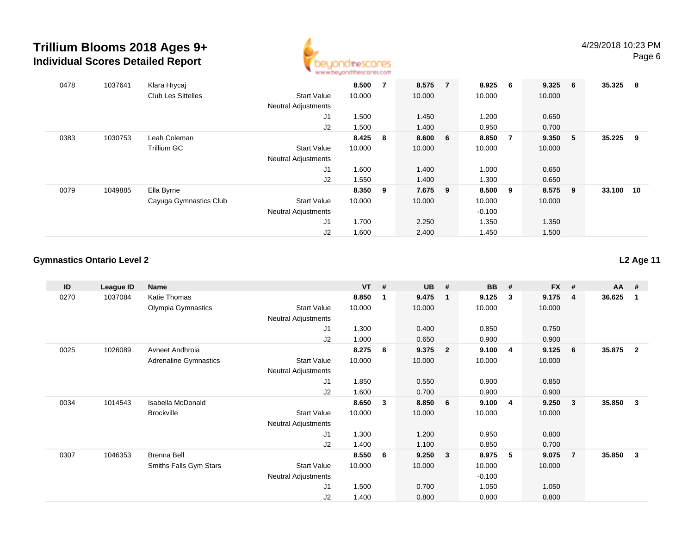

| 0478 | 1037641 | Klara Hrycaj              |                            | 8.500  | 7 | 8.575   | $\overline{7}$ | 8.925    | 6 <sup>6</sup> | 9.325   | 6   | 35.325 | - 8 |
|------|---------|---------------------------|----------------------------|--------|---|---------|----------------|----------|----------------|---------|-----|--------|-----|
|      |         | <b>Club Les Sittelles</b> | <b>Start Value</b>         | 10.000 |   | 10.000  |                | 10.000   |                | 10.000  |     |        |     |
|      |         |                           | <b>Neutral Adjustments</b> |        |   |         |                |          |                |         |     |        |     |
|      |         |                           | J1                         | 1.500  |   | 1.450   |                | 1.200    |                | 0.650   |     |        |     |
|      |         |                           | J2                         | 1.500  |   | 1.400   |                | 0.950    |                | 0.700   |     |        |     |
| 0383 | 1030753 | Leah Coleman              |                            | 8.425  | 8 | 8.600 6 |                | 8.850    | $\overline{7}$ | 9.350 5 |     | 35.225 | -9  |
|      |         | Trillium GC               | <b>Start Value</b>         | 10.000 |   | 10.000  |                | 10.000   |                | 10.000  |     |        |     |
|      |         |                           | <b>Neutral Adjustments</b> |        |   |         |                |          |                |         |     |        |     |
|      |         |                           | J <sub>1</sub>             | 1.600  |   | 1.400   |                | 1.000    |                | 0.650   |     |        |     |
|      |         |                           | J2                         | 1.550  |   | 1.400   |                | 1.300    |                | 0.650   |     |        |     |
| 0079 | 1049885 | Ella Byrne                |                            | 8.350  | 9 | 7.675 9 |                | 8.500    | - 9            | 8.575   | - 9 | 33.100 | 10  |
|      |         | Cayuga Gymnastics Club    | <b>Start Value</b>         | 10.000 |   | 10.000  |                | 10.000   |                | 10.000  |     |        |     |
|      |         |                           | <b>Neutral Adjustments</b> |        |   |         |                | $-0.100$ |                |         |     |        |     |
|      |         |                           | J <sub>1</sub>             | 1.700  |   | 2.250   |                | 1.350    |                | 1.350   |     |        |     |
|      |         |                           | J2                         | 1.600  |   | 2.400   |                | 1.450    |                | 1.500   |     |        |     |

### **Gymnastics Ontario Level 2**

**L2 Age 11**

| ID   | League ID | Name                         |                            | <b>VT</b> | # | <b>UB</b> | #              | <b>BB</b> | #              | <b>FX</b> | #              | <b>AA</b> | #            |
|------|-----------|------------------------------|----------------------------|-----------|---|-----------|----------------|-----------|----------------|-----------|----------------|-----------|--------------|
| 0270 | 1037084   | Katie Thomas                 |                            | 8.850     | 1 | 9.475     |                | 9.125     | 3              | 9.175     | $\overline{4}$ | 36.625    | -1           |
|      |           | Olympia Gymnastics           | <b>Start Value</b>         | 10.000    |   | 10.000    |                | 10.000    |                | 10.000    |                |           |              |
|      |           |                              | <b>Neutral Adjustments</b> |           |   |           |                |           |                |           |                |           |              |
|      |           |                              | J1                         | 1.300     |   | 0.400     |                | 0.850     |                | 0.750     |                |           |              |
|      |           |                              | J2                         | 1.000     |   | 0.650     |                | 0.900     |                | 0.900     |                |           |              |
| 0025 | 1026089   | Avneet Andhroia              |                            | 8.275     | 8 | 9.375     | $\overline{2}$ | 9.100     | $\overline{4}$ | 9.125     | 6              | 35.875    | $\mathbf{2}$ |
|      |           | <b>Adrenaline Gymnastics</b> | <b>Start Value</b>         | 10.000    |   | 10.000    |                | 10.000    |                | 10.000    |                |           |              |
|      |           |                              | <b>Neutral Adjustments</b> |           |   |           |                |           |                |           |                |           |              |
|      |           |                              | J1                         | 1.850     |   | 0.550     |                | 0.900     |                | 0.850     |                |           |              |
|      |           |                              | J2                         | 1.600     |   | 0.700     |                | 0.900     |                | 0.900     |                |           |              |
| 0034 | 1014543   | Isabella McDonald            |                            | 8.650     | 3 | 8.850     | 6              | 9.100     | $\overline{4}$ | 9.250     | 3              | 35.850    | 3            |
|      |           | <b>Brockville</b>            | <b>Start Value</b>         | 10.000    |   | 10.000    |                | 10.000    |                | 10.000    |                |           |              |
|      |           |                              | <b>Neutral Adjustments</b> |           |   |           |                |           |                |           |                |           |              |
|      |           |                              | J1                         | 1.300     |   | 1.200     |                | 0.950     |                | 0.800     |                |           |              |
|      |           |                              | J2                         | 1.400     |   | 1.100     |                | 0.850     |                | 0.700     |                |           |              |
| 0307 | 1046353   | <b>Brenna Bell</b>           |                            | 8.550     | 6 | 9.250     | 3              | 8.975     | 5              | 9.075     | -7             | 35.850    | 3            |
|      |           | Smiths Falls Gym Stars       | <b>Start Value</b>         | 10.000    |   | 10.000    |                | 10.000    |                | 10.000    |                |           |              |
|      |           |                              | Neutral Adjustments        |           |   |           |                | $-0.100$  |                |           |                |           |              |
|      |           |                              | J1                         | 1.500     |   | 0.700     |                | 1.050     |                | 1.050     |                |           |              |
|      |           |                              | J2                         | 1.400     |   | 0.800     |                | 0.800     |                | 0.800     |                |           |              |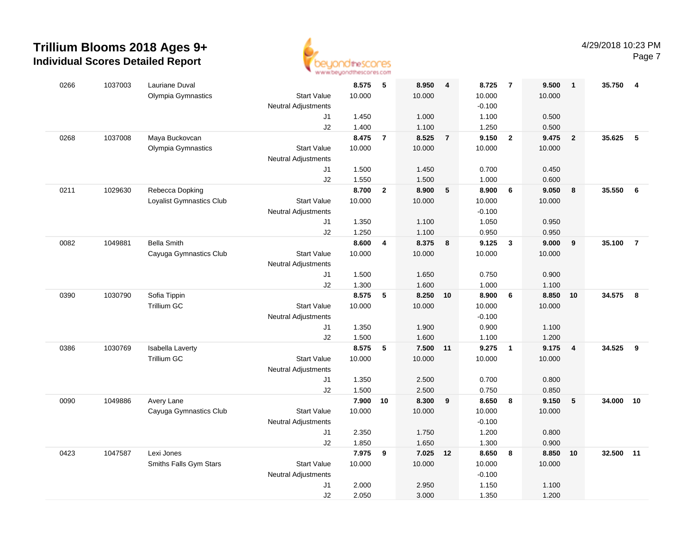

|      |         |                          | <b>THE THE THE NAME OF GROOM</b> |        |                         |          |                |          |                         |        |                 |           |                         |
|------|---------|--------------------------|----------------------------------|--------|-------------------------|----------|----------------|----------|-------------------------|--------|-----------------|-----------|-------------------------|
| 0266 | 1037003 | Lauriane Duval           |                                  | 8.575  | - 5                     | 8.950    | 4              | 8.725    | $\overline{7}$          | 9.500  | $\overline{1}$  | 35.750    | $\overline{\mathbf{4}}$ |
|      |         | Olympia Gymnastics       | <b>Start Value</b>               | 10.000 |                         | 10.000   |                | 10.000   |                         | 10.000 |                 |           |                         |
|      |         |                          | <b>Neutral Adjustments</b>       |        |                         |          |                | $-0.100$ |                         |        |                 |           |                         |
|      |         |                          | J1                               | 1.450  |                         | 1.000    |                | 1.100    |                         | 0.500  |                 |           |                         |
|      |         |                          | J2                               | 1.400  |                         | 1.100    |                | 1.250    |                         | 0.500  |                 |           |                         |
| 0268 | 1037008 | Maya Buckovcan           |                                  | 8.475  | $\overline{7}$          | 8.525    | $\overline{7}$ | 9.150    | $\overline{2}$          | 9.475  | $\overline{2}$  | 35.625    | 5                       |
|      |         | Olympia Gymnastics       | <b>Start Value</b>               | 10.000 |                         | 10.000   |                | 10.000   |                         | 10.000 |                 |           |                         |
|      |         |                          | <b>Neutral Adjustments</b>       |        |                         |          |                |          |                         |        |                 |           |                         |
|      |         |                          | J1                               | 1.500  |                         | 1.450    |                | 0.700    |                         | 0.450  |                 |           |                         |
|      |         |                          | J2                               | 1.550  |                         | 1.500    |                | 1.000    |                         | 0.600  |                 |           |                         |
| 0211 | 1029630 | Rebecca Dopking          |                                  | 8.700  | $\mathbf{2}$            | 8.900    | 5              | 8.900    | 6                       | 9.050  | 8               | 35.550 6  |                         |
|      |         | Loyalist Gymnastics Club | <b>Start Value</b>               | 10.000 |                         | 10.000   |                | 10.000   |                         | 10.000 |                 |           |                         |
|      |         |                          | Neutral Adjustments              |        |                         |          |                | $-0.100$ |                         |        |                 |           |                         |
|      |         |                          | J1                               | 1.350  |                         | 1.100    |                | 1.050    |                         | 0.950  |                 |           |                         |
|      |         |                          | J2                               | 1.250  |                         | 1.100    |                | 0.950    |                         | 0.950  |                 |           |                         |
| 0082 | 1049881 | <b>Bella Smith</b>       |                                  | 8.600  | $\overline{\mathbf{4}}$ | 8.375    | 8              | 9.125    | $\mathbf{3}$            | 9.000  | 9               | 35.100    | $\overline{7}$          |
|      |         | Cayuga Gymnastics Club   | <b>Start Value</b>               | 10.000 |                         | 10.000   |                | 10.000   |                         | 10.000 |                 |           |                         |
|      |         |                          | Neutral Adjustments              |        |                         |          |                |          |                         |        |                 |           |                         |
|      |         |                          | J1                               | 1.500  |                         | 1.650    |                | 0.750    |                         | 0.900  |                 |           |                         |
|      |         |                          | J2                               | 1.300  |                         | 1.600    |                | 1.000    |                         | 1.100  |                 |           |                         |
| 0390 | 1030790 | Sofia Tippin             |                                  | 8.575  | 5                       | 8.250 10 |                | 8.900    | $6\phantom{.0}6$        | 8.850  | 10              | 34.575 8  |                         |
|      |         | <b>Trillium GC</b>       | <b>Start Value</b>               | 10.000 |                         | 10.000   |                | 10.000   |                         | 10.000 |                 |           |                         |
|      |         |                          | <b>Neutral Adjustments</b>       |        |                         |          |                | $-0.100$ |                         |        |                 |           |                         |
|      |         |                          | J1                               | 1.350  |                         | 1.900    |                | 0.900    |                         | 1.100  |                 |           |                         |
|      |         |                          | J2                               | 1.500  |                         | 1.600    |                | 1.100    |                         | 1.200  |                 |           |                         |
| 0386 | 1030769 | <b>Isabella Laverty</b>  |                                  | 8.575  | 5                       | 7.500 11 |                | 9.275    | $\overline{\mathbf{1}}$ | 9.175  | $\overline{a}$  | 34.525    | 9                       |
|      |         | <b>Trillium GC</b>       | <b>Start Value</b>               | 10.000 |                         | 10.000   |                | 10.000   |                         | 10.000 |                 |           |                         |
|      |         |                          | Neutral Adjustments              |        |                         |          |                |          |                         |        |                 |           |                         |
|      |         |                          | J1                               | 1.350  |                         | 2.500    |                | 0.700    |                         | 0.800  |                 |           |                         |
|      |         |                          | J2                               | 1.500  |                         | 2.500    |                | 0.750    |                         | 0.850  |                 |           |                         |
| 0090 | 1049886 | Avery Lane               |                                  | 7.900  | 10                      | 8.300    | 9              | 8.650    | 8                       | 9.150  | $5\phantom{.0}$ | 34.000    | 10                      |
|      |         | Cayuga Gymnastics Club   | <b>Start Value</b>               | 10.000 |                         | 10.000   |                | 10.000   |                         | 10.000 |                 |           |                         |
|      |         |                          | <b>Neutral Adjustments</b>       |        |                         |          |                | $-0.100$ |                         |        |                 |           |                         |
|      |         |                          | J1                               | 2.350  |                         | 1.750    |                | 1.200    |                         | 0.800  |                 |           |                         |
|      |         |                          | J2                               | 1.850  |                         | 1.650    |                | 1.300    |                         | 0.900  |                 |           |                         |
| 0423 | 1047587 | Lexi Jones               |                                  | 7.975  | 9                       | 7.025 12 |                | 8.650    | 8                       | 8.850  | 10              | 32.500 11 |                         |
|      |         | Smiths Falls Gym Stars   | <b>Start Value</b>               | 10.000 |                         | 10.000   |                | 10.000   |                         | 10.000 |                 |           |                         |
|      |         |                          | Neutral Adjustments              |        |                         |          |                | $-0.100$ |                         |        |                 |           |                         |
|      |         |                          | J1                               | 2.000  |                         | 2.950    |                | 1.150    |                         | 1.100  |                 |           |                         |
|      |         |                          | J2                               | 2.050  |                         | 3.000    |                | 1.350    |                         | 1.200  |                 |           |                         |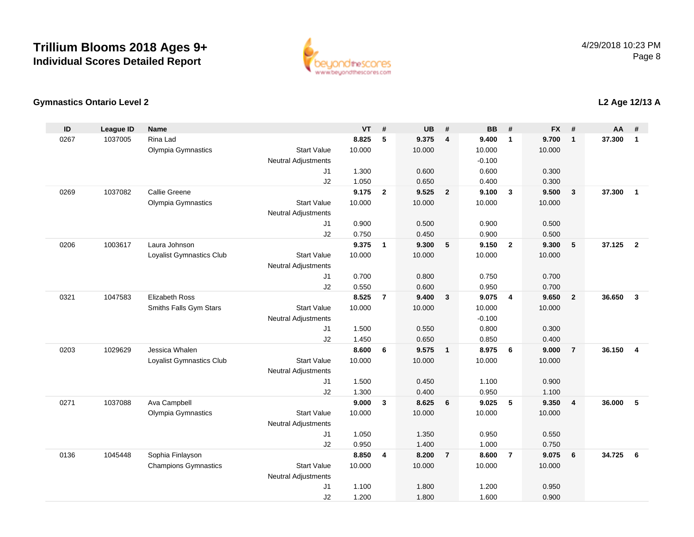

### **Gymnastics Ontario Level 2**

| ID   | <b>League ID</b> | <b>Name</b>                 |                            | <b>VT</b>      | #                       | <b>UB</b>      | #                       | <b>BB</b>      | #                       | <b>FX</b>      | #                       | <b>AA</b> | #                       |
|------|------------------|-----------------------------|----------------------------|----------------|-------------------------|----------------|-------------------------|----------------|-------------------------|----------------|-------------------------|-----------|-------------------------|
| 0267 | 1037005          | Rina Lad                    |                            | 8.825          | 5                       | 9.375          | $\overline{4}$          | 9.400          | $\overline{1}$          | 9.700          | $\mathbf{1}$            | 37,300    | $\mathbf{1}$            |
|      |                  | Olympia Gymnastics          | <b>Start Value</b>         | 10.000         |                         | 10.000         |                         | 10.000         |                         | 10.000         |                         |           |                         |
|      |                  |                             | <b>Neutral Adjustments</b> |                |                         |                |                         | $-0.100$       |                         |                |                         |           |                         |
|      |                  |                             | J <sub>1</sub>             | 1.300          |                         | 0.600          |                         | 0.600          |                         | 0.300          |                         |           |                         |
|      |                  |                             | J2                         | 1.050          |                         | 0.650          |                         | 0.400          |                         | 0.300          |                         |           |                         |
| 0269 | 1037082          | Callie Greene               |                            | 9.175          | $\mathbf{2}$            | 9.525          | $\overline{\mathbf{2}}$ | 9.100          | $\overline{\mathbf{3}}$ | 9.500          | $\mathbf{3}$            | 37.300    | $\overline{1}$          |
|      |                  | Olympia Gymnastics          | <b>Start Value</b>         | 10.000         |                         | 10.000         |                         | 10.000         |                         | 10.000         |                         |           |                         |
|      |                  |                             | <b>Neutral Adjustments</b> |                |                         |                |                         |                |                         |                |                         |           |                         |
|      |                  |                             | J1                         | 0.900          |                         | 0.500          |                         | 0.900          |                         | 0.500          |                         |           |                         |
| 0206 | 1003617          | Laura Johnson               | J2                         | 0.750<br>9.375 | $\mathbf{1}$            | 0.450<br>9.300 | 5                       | 0.900<br>9.150 | $\overline{2}$          | 0.500<br>9.300 | ${\bf 5}$               | 37.125    | $\overline{2}$          |
|      |                  | Loyalist Gymnastics Club    | <b>Start Value</b>         | 10.000         |                         | 10.000         |                         | 10.000         |                         | 10.000         |                         |           |                         |
|      |                  |                             | <b>Neutral Adjustments</b> |                |                         |                |                         |                |                         |                |                         |           |                         |
|      |                  |                             | J1                         | 0.700          |                         | 0.800          |                         | 0.750          |                         | 0.700          |                         |           |                         |
|      |                  |                             | J2                         | 0.550          |                         | 0.600          |                         | 0.950          |                         | 0.700          |                         |           |                         |
| 0321 | 1047583          | Elizabeth Ross              |                            | 8.525          | $\overline{\mathbf{r}}$ | 9.400          | $\overline{\mathbf{3}}$ | 9.075          | $\overline{4}$          | 9.650          | $\overline{2}$          | 36.650    | $\overline{\mathbf{3}}$ |
|      |                  | Smiths Falls Gym Stars      | <b>Start Value</b>         | 10.000         |                         | 10.000         |                         | 10.000         |                         | 10.000         |                         |           |                         |
|      |                  |                             | <b>Neutral Adjustments</b> |                |                         |                |                         | $-0.100$       |                         |                |                         |           |                         |
|      |                  |                             | J <sub>1</sub>             | 1.500          |                         | 0.550          |                         | 0.800          |                         | 0.300          |                         |           |                         |
|      |                  |                             | J2                         | 1.450          |                         | 0.650          |                         | 0.850          |                         | 0.400          |                         |           |                         |
| 0203 | 1029629          | Jessica Whalen              |                            | 8.600          | 6                       | 9.575          | $\overline{1}$          | 8.975          | 6                       | 9.000          | $\overline{7}$          | 36.150    | $\overline{4}$          |
|      |                  | Loyalist Gymnastics Club    | <b>Start Value</b>         | 10.000         |                         | 10.000         |                         | 10.000         |                         | 10.000         |                         |           |                         |
|      |                  |                             | <b>Neutral Adjustments</b> |                |                         |                |                         |                |                         |                |                         |           |                         |
|      |                  |                             | J1                         | 1.500          |                         | 0.450          |                         | 1.100          |                         | 0.900          |                         |           |                         |
|      |                  |                             | J2                         | 1.300          |                         | 0.400          |                         | 0.950          |                         | 1.100          |                         |           |                         |
| 0271 | 1037088          | Ava Campbell                |                            | 9.000          | $\mathbf{3}$            | 8.625          | 6                       | 9.025          | 5                       | 9.350          | $\overline{\mathbf{4}}$ | 36.000    | 5                       |
|      |                  | Olympia Gymnastics          | <b>Start Value</b>         | 10.000         |                         | 10.000         |                         | 10.000         |                         | 10.000         |                         |           |                         |
|      |                  |                             | <b>Neutral Adjustments</b> |                |                         |                |                         |                |                         |                |                         |           |                         |
|      |                  |                             | J1                         | 1.050          |                         | 1.350          |                         | 0.950          |                         | 0.550          |                         |           |                         |
|      |                  |                             | J2                         | 0.950          |                         | 1.400          |                         | 1.000          |                         | 0.750          |                         |           |                         |
| 0136 | 1045448          | Sophia Finlayson            |                            | 8.850          | 4                       | 8.200          | $\overline{7}$          | 8.600          | $\overline{7}$          | 9.075          | 6                       | 34.725    | 6                       |
|      |                  | <b>Champions Gymnastics</b> | <b>Start Value</b>         | 10.000         |                         | 10.000         |                         | 10.000         |                         | 10.000         |                         |           |                         |
|      |                  |                             | <b>Neutral Adjustments</b> |                |                         |                |                         |                |                         |                |                         |           |                         |
|      |                  |                             | J <sub>1</sub>             | 1.100          |                         | 1.800          |                         | 1.200          |                         | 0.950          |                         |           |                         |
|      |                  |                             | J2                         | 1.200          |                         | 1.800          |                         | 1.600          |                         | 0.900          |                         |           |                         |

### **L2 Age 12/13 A**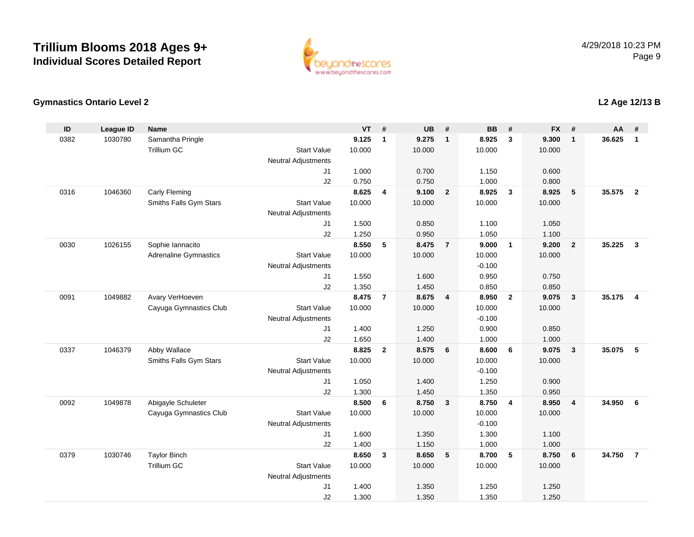

### **Gymnastics Ontario Level 2**

| ID   | <b>League ID</b> | <b>Name</b>                  |                                  | <b>VT</b>      | #              | <b>UB</b>      | #               | <b>BB</b>      | #                       | <b>FX</b>      | #                       | AA     | #              |
|------|------------------|------------------------------|----------------------------------|----------------|----------------|----------------|-----------------|----------------|-------------------------|----------------|-------------------------|--------|----------------|
| 0382 | 1030780          | Samantha Pringle             |                                  | 9.125          | $\mathbf{1}$   | 9.275          | $\overline{1}$  | 8.925          | $\mathbf{3}$            | 9.300          | $\mathbf{1}$            | 36.625 | $\mathbf{1}$   |
|      |                  | <b>Trillium GC</b>           | <b>Start Value</b>               | 10.000         |                | 10.000         |                 | 10.000         |                         | 10.000         |                         |        |                |
|      |                  |                              | <b>Neutral Adjustments</b>       |                |                |                |                 |                |                         |                |                         |        |                |
|      |                  |                              | J1                               | 1.000          |                | 0.700          |                 | 1.150          |                         | 0.600          |                         |        |                |
|      |                  |                              | J2                               | 0.750          |                | 0.750          |                 | 1.000          |                         | 0.800          |                         |        |                |
| 0316 | 1046360          | Carly Fleming                |                                  | 8.625          | $\overline{4}$ | 9.100          | $\overline{2}$  | 8.925          | $\overline{\mathbf{3}}$ | 8.925          | 5                       | 35.575 | $\overline{2}$ |
|      |                  | Smiths Falls Gym Stars       | <b>Start Value</b>               | 10.000         |                | 10.000         |                 | 10.000         |                         | 10.000         |                         |        |                |
|      |                  |                              | <b>Neutral Adjustments</b>       |                |                |                |                 |                |                         |                |                         |        |                |
|      |                  |                              | J1                               | 1.500          |                | 0.850          |                 | 1.100          |                         | 1.050          |                         |        |                |
|      |                  |                              | J2                               | 1.250          |                | 0.950          |                 | 1.050          |                         | 1.100          |                         |        |                |
| 0030 | 1026155          | Sophie Iannacito             |                                  | 8.550          | 5              | 8.475          | $\overline{7}$  | 9.000          | $\overline{1}$          | 9.200          | $\overline{2}$          | 35.225 | $\mathbf{3}$   |
|      |                  | <b>Adrenaline Gymnastics</b> | <b>Start Value</b>               | 10.000         |                | 10.000         |                 | 10.000         |                         | 10.000         |                         |        |                |
|      |                  |                              | <b>Neutral Adjustments</b>       |                |                |                |                 | $-0.100$       |                         |                |                         |        |                |
|      |                  |                              | J1                               | 1.550          |                | 1.600          |                 | 0.950          |                         | 0.750          |                         |        |                |
|      |                  |                              | J2                               | 1.350          |                | 1.450          |                 | 0.850          |                         | 0.850          |                         |        |                |
| 0091 | 1049882          | Avary VerHoeven              |                                  | 8.475          | $\overline{7}$ | 8.675          | $\overline{4}$  | 8.950          | $\overline{2}$          | 9.075          | $\overline{\mathbf{3}}$ | 35.175 | $\overline{4}$ |
|      |                  | Cayuga Gymnastics Club       | <b>Start Value</b>               | 10.000         |                | 10.000         |                 | 10.000         |                         | 10.000         |                         |        |                |
|      |                  |                              | <b>Neutral Adjustments</b>       |                |                |                |                 | $-0.100$       |                         |                |                         |        |                |
|      |                  |                              | J1                               | 1.400          |                | 1.250          |                 | 0.900          |                         | 0.850          |                         |        |                |
| 0337 | 1046379          | Abby Wallace                 | J2                               | 1.650<br>8.825 | $\overline{2}$ | 1.400<br>8.575 | 6               | 1.000<br>8.600 | 6                       | 1.000<br>9.075 | $\overline{\mathbf{3}}$ | 35.075 | 5              |
|      |                  | Smiths Falls Gym Stars       | <b>Start Value</b>               | 10.000         |                | 10.000         |                 | 10.000         |                         | 10.000         |                         |        |                |
|      |                  |                              |                                  |                |                |                |                 | $-0.100$       |                         |                |                         |        |                |
|      |                  |                              | <b>Neutral Adjustments</b><br>J1 | 1.050          |                | 1.400          |                 | 1.250          |                         | 0.900          |                         |        |                |
|      |                  |                              | J2                               | 1.300          |                | 1.450          |                 | 1.350          |                         | 0.950          |                         |        |                |
| 0092 | 1049878          | Abigayle Schuleter           |                                  | 8.500          | 6              | 8.750          | $\mathbf{3}$    | 8.750          | $\overline{4}$          | 8.950          | $\overline{\mathbf{4}}$ | 34.950 | 6              |
|      |                  | Cayuga Gymnastics Club       | <b>Start Value</b>               | 10.000         |                | 10.000         |                 | 10.000         |                         | 10.000         |                         |        |                |
|      |                  |                              | Neutral Adjustments              |                |                |                |                 | $-0.100$       |                         |                |                         |        |                |
|      |                  |                              | J1                               | 1.600          |                | 1.350          |                 | 1.300          |                         | 1.100          |                         |        |                |
|      |                  |                              | J2                               | 1.400          |                | 1.150          |                 | 1.000          |                         | 1.000          |                         |        |                |
| 0379 | 1030746          | <b>Taylor Binch</b>          |                                  | 8.650          | $\mathbf{3}$   | 8.650          | $5\phantom{.0}$ | 8.700          | $5\phantom{.0}$         | 8.750          | 6                       | 34.750 | $\overline{7}$ |
|      |                  | <b>Trillium GC</b>           | <b>Start Value</b>               | 10.000         |                | 10.000         |                 | 10.000         |                         | 10.000         |                         |        |                |
|      |                  |                              | Neutral Adjustments              |                |                |                |                 |                |                         |                |                         |        |                |
|      |                  |                              | J1                               | 1.400          |                | 1.350          |                 | 1.250          |                         | 1.250          |                         |        |                |
|      |                  |                              | J2                               | 1.300          |                | 1.350          |                 | 1.350          |                         | 1.250          |                         |        |                |

## **L2 Age 12/13 B**